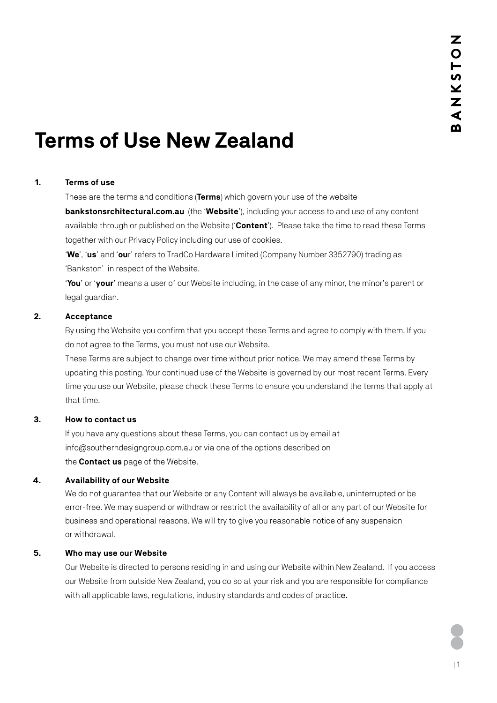# **Terms of Use New Zealand**

## **1. Terms of use**

These are the terms and conditions (**Terms**) which govern your use of the website

**[bankstonsrchitectural.com.au](www.bankstonsrchitectural.com.au)** (the '**Website**'), including your access to and use of any content available through or published on the Website ('**Content**'). Please take the time to read these Terms together with our Privacy Policy including our use of cookies.

'**We**', '**us**' and '**ou**r' refers to TradCo Hardware Limited (Company Number 3352790) trading as 'Bankston' in respect of the Website.

'**You**' or '**your**' means a user of our Website including, in the case of any minor, the minor's parent or legal guardian.

#### **2. Acceptance**

By using the Website you confirm that you accept these Terms and agree to comply with them. If you do not agree to the Terms, you must not use our Website.

These Terms are subject to change over time without prior notice. We may amend these Terms by updating this posting. Your continued use of the Website is governed by our most recent Terms. Every time you use our Website, please check these Terms to ensure you understand the terms that apply at that time.

#### **3. How to contact us**

If you have any questions about these Terms, you can contact us by email at [info@southerndesigngroup.com.au](mailto:info@southerndesigngroup.com.au) or via one of the options described on the **[Contact us](https://www.southerndesigngroup.com.au/#contact)** page of the Website.

# **4. Availability of our Website**

We do not guarantee that our Website or any Content will always be available, uninterrupted or be error-free. We may suspend or withdraw or restrict the availability of all or any part of our Website for business and operational reasons. We will try to give you reasonable notice of any suspension or withdrawal.

#### **5. Who may use our Website**

Our Website is directed to persons residing in and using our Website within New Zealand. If you access our Website from outside New Zealand, you do so at your risk and you are responsible for compliance with all applicable laws, regulations, industry standards and codes of practice.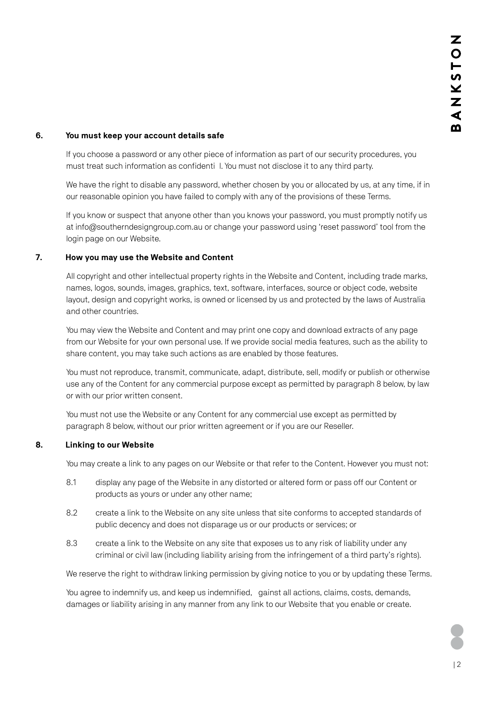## **6. You must keep your account details safe**

If you choose a password or any other piece of information as part of our security procedures, you must treat such information as confidenti l. You must not disclose it to any third party.

We have the right to disable any password, whether chosen by you or allocated by us, at any time, if in our reasonable opinion you have failed to comply with any of the provisions of these Terms.

If you know or suspect that anyone other than you knows your password, you must promptly notify us at [info@southerndesigngroup.com.au](mailto:info@southerndesigngroup.com.au) or change your password using 'reset password' tool from the [login page](https://4614869.app.netsuite.com/app/login/secure/privatelogin.nl?c=4614869) on our Website.

# **7. How you may use the Website and Content**

All copyright and other intellectual property rights in the Website and Content, including trade marks, names, logos, sounds, images, graphics, text, software, interfaces, source or object code, website layout, design and copyright works, is owned or licensed by us and protected by the laws of Australia and other countries.

You may view the Website and Content and may print one copy and download extracts of any page from our Website for your own personal use. If we provide social media features, such as the ability to share content, you may take such actions as are enabled by those features.

You must not reproduce, transmit, communicate, adapt, distribute, sell, modify or publish or otherwise use any of the Content for any commercial purpose except as permitted by paragraph 8 below, by law or with our prior written consent.

You must not use the Website or any Content for any commercial use except as permitted by paragraph 8 below, without our prior written agreement or if you are our Reseller.

## **8. Linking to our Website**

You may create a link to any pages on our Website or that refer to the Content. However you must not:

- 8.1 display any page of the Website in any distorted or altered form or pass off our Content or products as yours or under any other name;
- 8.2 create a link to the Website on any site unless that site conforms to accepted standards of public decency and does not disparage us or our products or services; or
- 8.3 create a link to the Website on any site that exposes us to any risk of liability under any criminal or civil law (including liability arising from the infringement of a third party's rights).

We reserve the right to withdraw linking permission by giving notice to you or by updating these Terms.

You agree to indemnify us, and keep us indemnified, gainst all actions, claims, costs, demands, damages or liability arising in any manner from any link to our Website that you enable or create.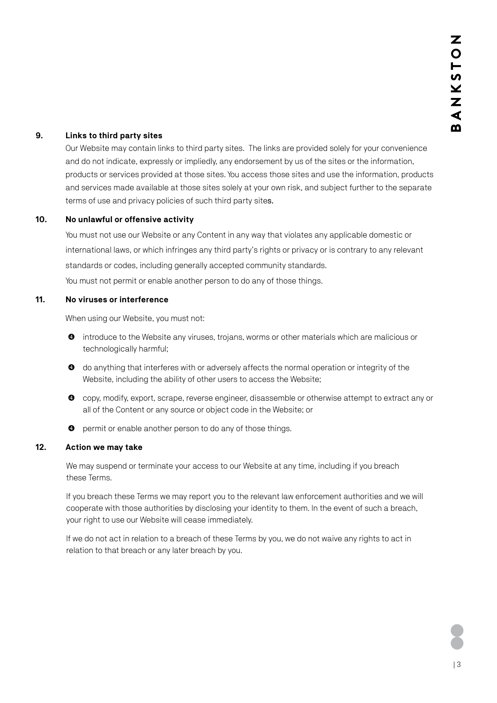# **9. Links to third party sites**

Our Website may contain links to third party sites. The links are provided solely for your convenience and do not indicate, expressly or impliedly, any endorsement by us of the sites or the information, products or services provided at those sites. You access those sites and use the information, products and services made available at those sites solely at your own risk, and subject further to the separate terms of use and privacy policies of such third party sites.

## **10. No unlawful or offensive activity**

You must not use our Website or any Content in any way that violates any applicable domestic or international laws, or which infringes any third party's rights or privacy or is contrary to any relevant standards or codes, including generally accepted community standards. You must not permit or enable another person to do any of those things.

## **11. No viruses or interference**

When using our Website, you must not:

- introduce to the Website any viruses, trojans, worms or other materials which are malicious or technologically harmful;
- do anything that interferes with or adversely affects the normal operation or integrity of the Website, including the ability of other users to access the Website;
- copy, modify, export, scrape, reverse engineer, disassemble or otherwise attempt to extract any or all of the Content or any source or object code in the Website; or
- $\bullet$  permit or enable another person to do any of those things.

# **12. Action we may take**

We may suspend or terminate your access to our Website at any time, including if you breach these Terms.

If you breach these Terms we may report you to the relevant law enforcement authorities and we will cooperate with those authorities by disclosing your identity to them. In the event of such a breach, your right to use our Website will cease immediately.

If we do not act in relation to a breach of these Terms by you, we do not waive any rights to act in relation to that breach or any later breach by you.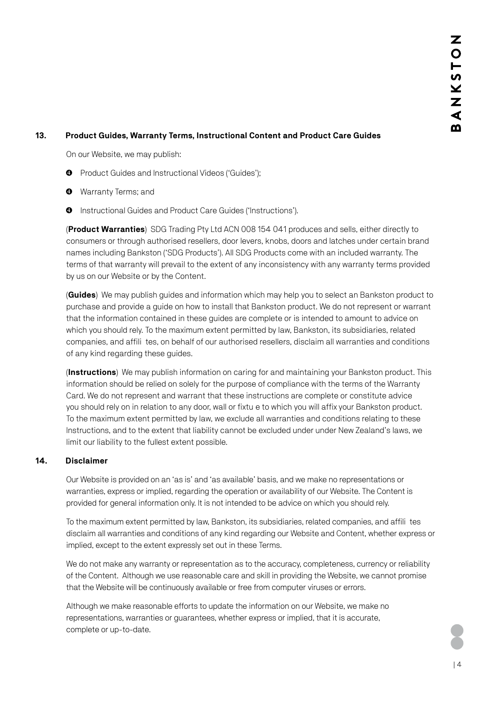### **13. Product Guides, Warranty Terms, Instructional Content and Product Care Guides**

On our Website, we may publish:

- **O** Product Guides and Instructional Videos ('Guides');
- **O** Warranty Terms; and
- **O** Instructional Guides and Product Care Guides ('Instructions').

(**Product Warranties**) SDG Trading Pty Ltd ACN 008 154 041 produces and sells, either directly to consumers or through authorised resellers, door levers, knobs, doors and latches under certain brand names including Bankston ('SDG Products'). All SDG Products come with an included warranty. The terms of that warranty will prevail to the extent of any inconsistency with any warranty terms provided by us on our Website or by the Content.

(**Guides**) We may publish guides and information which may help you to select an Bankston product to purchase and provide a guide on how to install that Bankston product. We do not represent or warrant that the information contained in these guides are complete or is intended to amount to advice on which you should rely. To the maximum extent permitted by law, Bankston, its subsidiaries, related companies, and affili tes, on behalf of our authorised resellers, disclaim all warranties and conditions of any kind regarding these guides.

(**Instructions**) We may publish information on caring for and maintaining your Bankston product. This information should be relied on solely for the purpose of compliance with the terms of the Warranty Card. We do not represent and warrant that these instructions are complete or constitute advice you should rely on in relation to any door, wall or fixtu e to which you will affix your Bankston product. To the maximum extent permitted by law, we exclude all warranties and conditions relating to these Instructions, and to the extent that liability cannot be excluded under under New Zealand's laws, we limit our liability to the fullest extent possible.

#### **14. Disclaimer**

Our Website is provided on an 'as is' and 'as available' basis, and we make no representations or warranties, express or implied, regarding the operation or availability of our Website. The Content is provided for general information only. It is not intended to be advice on which you should rely.

To the maximum extent permitted by law, Bankston, its subsidiaries, related companies, and affili tes disclaim all warranties and conditions of any kind regarding our Website and Content, whether express or implied, except to the extent expressly set out in these Terms.

We do not make any warranty or representation as to the accuracy, completeness, currency or reliability of the Content. Although we use reasonable care and skill in providing the Website, we cannot promise that the Website will be continuously available or free from computer viruses or errors.

Although we make reasonable efforts to update the information on our Website, we make no representations, warranties or guarantees, whether express or implied, that it is accurate, complete or up-to-date.